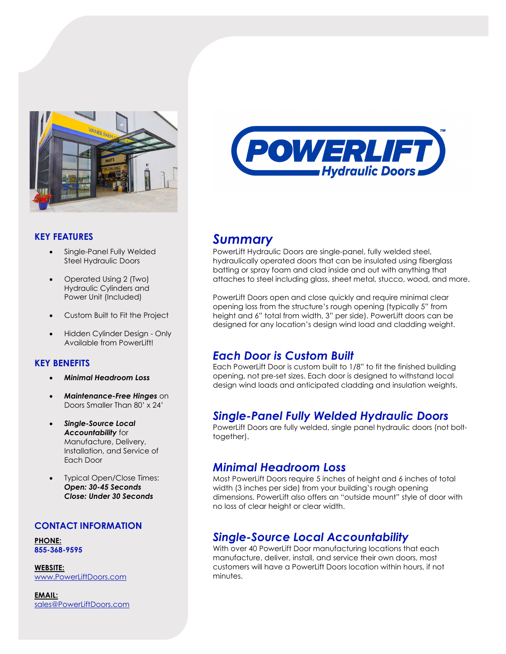

### **KEY FEATURES**

- Single-Panel Fully Welded Steel Hydraulic Doors
- Operated Using 2 (Two) Hydraulic Cylinders and Power Unit (Included)
- Custom Built to Fit the Project
- Hidden Cylinder Design Only Available from PowerLift!

### **KEY BENEFITS**

- *Minimal Headroom Loss*
- *Maintenance-Free Hinges* on Doors Smaller Than 80' x 24'
- *Single-Source Local Accountability* for Manufacture, Delivery, Installation, and Service of Each Door
- Typical Open/Close Times: *Open: 30-45 Seconds Close: Under 30 Seconds*

#### **CONTACT INFORMATION**

**PHONE: 855-368-9595**

**WEBSITE:** [www.PowerLiftDoors.com](http://www.powerliftdoors.com/)

**EMAIL:** [sales@PowerLiftDoors.com](mailto:sales@PowerLiftDoors.com)



# *Summary*

PowerLift Hydraulic Doors are single-panel, fully welded steel, hydraulically operated doors that can be insulated using fiberglass batting or spray foam and clad inside and out with anything that attaches to steel including glass, sheet metal, stucco, wood, and more.

PowerLift Doors open and close quickly and require minimal clear opening loss from the structure's rough opening (typically 5" from height and 6" total from width, 3" per side). PowerLift doors can be designed for any location's design wind load and cladding weight.

# *Each Door is Custom Built*

Each PowerLift Door is custom built to 1/8" to fit the finished building opening, not pre-set sizes. Each door is designed to withstand local design wind loads and anticipated cladding and insulation weights.

# *Single-Panel Fully Welded Hydraulic Doors*

PowerLift Doors are fully welded, single panel hydraulic doors (not bolttogether).

## *Minimal Headroom Loss*

Most PowerLift Doors require 5 inches of height and 6 inches of total width (3 inches per side) from your building's rough opening dimensions. PowerLift also offers an "outside mount" style of door with no loss of clear height or clear width.

# *Single-Source Local Accountability*

With over 40 PowerLift Door manufacturing locations that each manufacture, deliver, install, and service their own doors, most customers will have a PowerLift Doors location within hours, if not minutes.